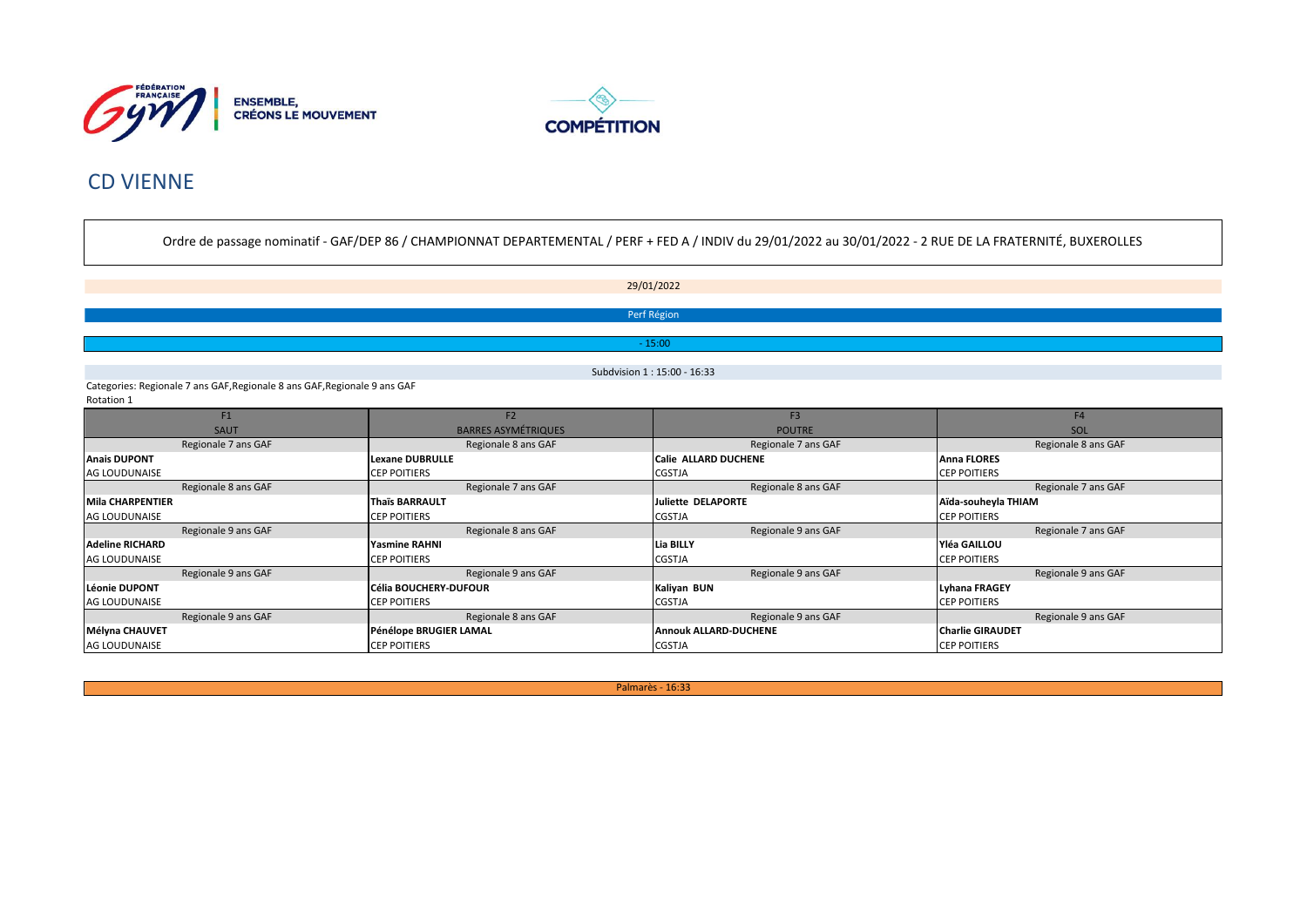



# **CD VIENNE**

Ordre de passage nominatif - GAF/DEP 86 / CHAMPIONNAT DEPARTEMENTAL / PERF + FED A / INDIV du 29/01/2022 au 30/01/2022 - 2 RUE DE LA FRATERNITÉ, BUXEROLLES

29/01/2022 Perf Région  $-15:00$ Subdvision 1: 15:00 - 16:33

Categories: Regionale 7 ans GAF, Regionale 8 ans GAF, Regionale 9 ans GAF Rotation 1

| F1                     | F <sub>2</sub>               | F <sub>3</sub>                                          | F <sub>4</sub>       |  |
|------------------------|------------------------------|---------------------------------------------------------|----------------------|--|
| <b>SAUT</b>            | <b>BARRES ASYMÉTRIQUES</b>   | <b>POUTRE</b>                                           | SOL                  |  |
| Regionale 7 ans GAF    | Regionale 8 ans GAF          | Regionale 7 ans GAF                                     | Regionale 8 ans GAF  |  |
| <b>Anais DUPONT</b>    | Lexane DUBRULLE              | <b>Calie ALLARD DUCHENE</b>                             | <b>Anna FLORES</b>   |  |
| <b>AG LOUDUNAISE</b>   | <b>CEP POITIERS</b>          | <b>CGSTJA</b>                                           | <b>ICEP POITIERS</b> |  |
| Regionale 8 ans GAF    | Regionale 7 ans GAF          | Regionale 8 ans GAF                                     | Regionale 7 ans GAF  |  |
| Mila CHARPENTIER       | <b>Thaïs BARRAULT</b>        | Juliette DELAPORTE                                      | Aïda-souheyla THIAM  |  |
| AG LOUDUNAISE          | <b>CEP POITIERS</b>          | <b>CGSTJA</b>                                           | <b>CEP POITIERS</b>  |  |
| Regionale 9 ans GAF    | Regionale 8 ans GAF          | Regionale 9 ans GAF                                     | Regionale 7 ans GAF  |  |
| <b>Adeline RICHARD</b> | Yasmine RAHNI                | Yléa GAILLOU<br><b>Lia BILLY</b>                        |                      |  |
| <b>AG LOUDUNAISE</b>   | <b>CEP POITIERS</b>          | <b>CGSTJA</b><br><b>CEP POITIERS</b>                    |                      |  |
| Regionale 9 ans GAF    | Regionale 9 ans GAF          | Regionale 9 ans GAF                                     | Regionale 9 ans GAF  |  |
| Léonie DUPONT          | <b>Célia BOUCHERY-DUFOUR</b> | Kaliyan BUN<br>Lyhana FRAGEY                            |                      |  |
| <b>AG LOUDUNAISE</b>   | <b>CEP POITIERS</b>          | <b>CGSTJA</b><br><b>CEP POITIERS</b>                    |                      |  |
| Regionale 9 ans GAF    | Regionale 8 ans GAF          | Regionale 9 ans GAF                                     | Regionale 9 ans GAF  |  |
| Mélyna CHAUVET         | Pénélope BRUGIER LAMAL       | <b>Charlie GIRAUDET</b><br><b>Annouk ALLARD-DUCHENE</b> |                      |  |
| <b>AG LOUDUNAISE</b>   | <b>CEP POITIERS</b>          | <b>CGSTJA</b>                                           | <b>CEP POITIERS</b>  |  |

Palmarès - 16:33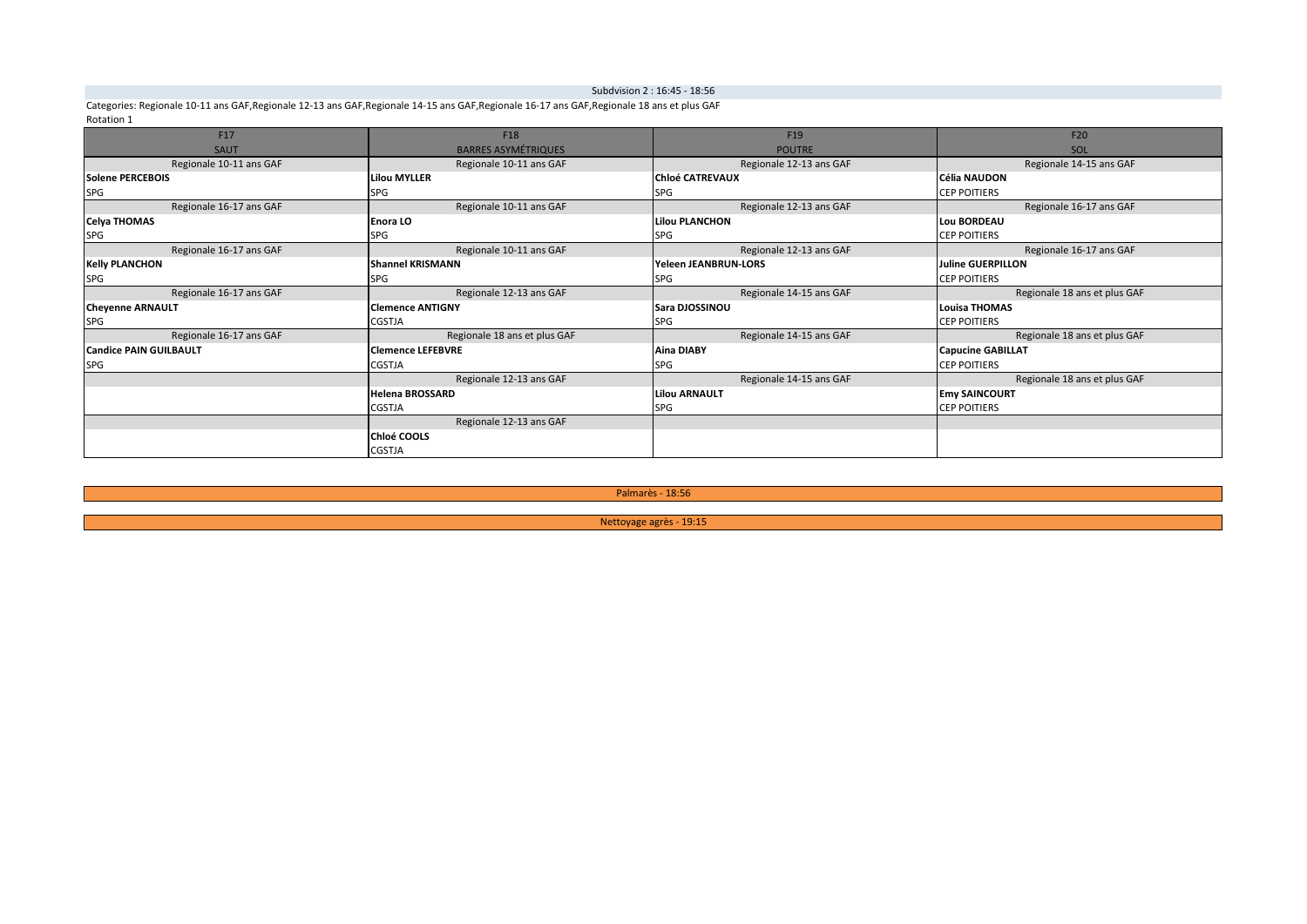### Subdvision 2 : 16:45 - 18:56

Categories: Regionale 10-11 ans GAF, Regionale 12-13 ans GAF, Regionale 14-15 ans GAF, Regionale 16-17 ans GAF, Regionale 18 ans et plus GAF Rotation 1

| F17                           | F18<br>F <sub>19</sub>       |                                                    | F20                          |  |
|-------------------------------|------------------------------|----------------------------------------------------|------------------------------|--|
| SAUT                          | <b>BARRES ASYMÉTRIQUES</b>   | <b>POUTRE</b>                                      | SOL                          |  |
| Regionale 10-11 ans GAF       | Regionale 10-11 ans GAF      | Regionale 14-15 ans GAF<br>Regionale 12-13 ans GAF |                              |  |
| Solene PERCEBOIS              | <b>Lilou MYLLER</b>          | <b>Chloé CATREVAUX</b>                             | <b>Célia NAUDON</b>          |  |
| SPG                           | <b>SPG</b>                   | <b>SPG</b>                                         | <b>CEP POITIERS</b>          |  |
| Regionale 16-17 ans GAF       | Regionale 10-11 ans GAF      | Regionale 12-13 ans GAF                            | Regionale 16-17 ans GAF      |  |
| <b>Celya THOMAS</b>           | Enora LO                     | <b>Lilou PLANCHON</b>                              | <b>Lou BORDEAU</b>           |  |
| SPG                           | <b>SPG</b>                   | <b>SPG</b>                                         | <b>CEP POITIERS</b>          |  |
| Regionale 16-17 ans GAF       | Regionale 10-11 ans GAF      | Regionale 12-13 ans GAF                            | Regionale 16-17 ans GAF      |  |
| <b>Kelly PLANCHON</b>         | <b>Shannel KRISMANN</b>      | Yeleen JEANBRUN-LORS                               | <b>Juline GUERPILLON</b>     |  |
| SPG                           | <b>SPG</b>                   | <b>SPG</b>                                         | <b>CEP POITIERS</b>          |  |
| Regionale 16-17 ans GAF       | Regionale 12-13 ans GAF      | Regionale 14-15 ans GAF                            | Regionale 18 ans et plus GAF |  |
| <b>Cheyenne ARNAULT</b>       | <b>Clemence ANTIGNY</b>      | Sara DJOSSINOU                                     | Louisa THOMAS                |  |
| <b>SPG</b>                    | <b>CGSTJA</b>                | <b>SPG</b>                                         | <b>CEP POITIERS</b>          |  |
| Regionale 16-17 ans GAF       | Regionale 18 ans et plus GAF | Regionale 14-15 ans GAF                            | Regionale 18 ans et plus GAF |  |
| <b>Candice PAIN GUILBAULT</b> | <b>Clemence LEFEBVRE</b>     | <b>Aina DIABY</b>                                  | <b>Capucine GABILLAT</b>     |  |
| <b>SPG</b>                    | <b>CGSTJA</b>                | <b>SPG</b>                                         | <b>CEP POITIERS</b>          |  |
|                               | Regionale 12-13 ans GAF      | Regionale 14-15 ans GAF                            | Regionale 18 ans et plus GAF |  |
|                               | <b>Helena BROSSARD</b>       | <b>Lilou ARNAULT</b>                               | <b>Emy SAINCOURT</b>         |  |
| <b>CGSTJA</b>                 |                              | <b>SPG</b>                                         | <b>CEP POITIERS</b>          |  |
|                               | Regionale 12-13 ans GAF      |                                                    |                              |  |
|                               | Chloé COOLS                  |                                                    |                              |  |
|                               | <b>CGSTJA</b>                |                                                    |                              |  |

Palmarès - 18:56

Nettoyage agrès - 19:15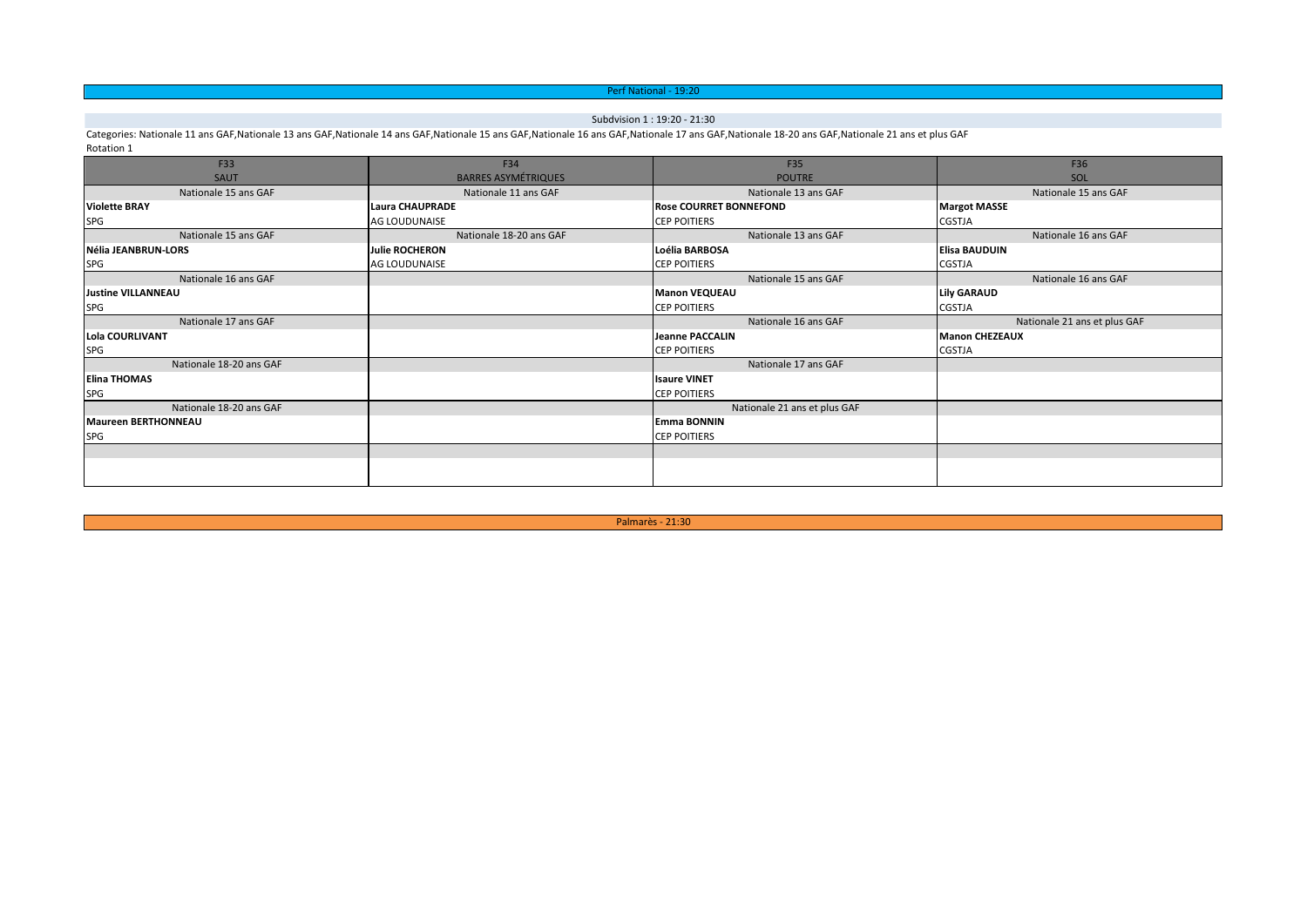### Perf National - 19:20

### Subdvision 1 : 19:20 - 21:30

Categories: Nationale 11 ans GAF,Nationale 13 ans GAF,Nationale 14 ans GAF,Nationale 15 ans GAF,Nationale 16 ans GAF,Nationale 17 ans GAF,Nationale 18-20 ans GAF,Nationale 21 ans et plus GAF Rotation 1

| F33                        | F34                        | F35                           | F36                          |  |
|----------------------------|----------------------------|-------------------------------|------------------------------|--|
| SAUT                       | <b>BARRES ASYMÉTRIQUES</b> | <b>POUTRE</b>                 | SOL                          |  |
| Nationale 15 ans GAF       | Nationale 11 ans GAF       | Nationale 13 ans GAF          | Nationale 15 ans GAF         |  |
| <b>Violette BRAY</b>       | <b>Laura CHAUPRADE</b>     | <b>Rose COURRET BONNEFOND</b> | <b>Margot MASSE</b>          |  |
| SPG                        | <b>AG LOUDUNAISE</b>       | <b>CEP POITIERS</b>           | CGSTJA                       |  |
| Nationale 15 ans GAF       | Nationale 18-20 ans GAF    | Nationale 13 ans GAF          | Nationale 16 ans GAF         |  |
| Nélia JEANBRUN-LORS        | <b>Julie ROCHERON</b>      | Loélia BARBOSA                | Elisa BAUDUIN                |  |
| <b>SPG</b>                 | <b>AG LOUDUNAISE</b>       | <b>CEP POITIERS</b>           | CGSTJA                       |  |
| Nationale 16 ans GAF       |                            | Nationale 15 ans GAF          | Nationale 16 ans GAF         |  |
| <b>Justine VILLANNEAU</b>  |                            | <b>Manon VEQUEAU</b>          | <b>Lily GARAUD</b>           |  |
| <b>SPG</b>                 |                            | <b>CEP POITIERS</b>           | CGSTJA                       |  |
| Nationale 17 ans GAF       |                            | Nationale 16 ans GAF          | Nationale 21 ans et plus GAF |  |
| Lola COURLIVANT            |                            | <b>Jeanne PACCALIN</b>        | <b>Manon CHEZEAUX</b>        |  |
| <b>SPG</b>                 |                            | <b>CEP POITIERS</b>           | CGSTJA                       |  |
| Nationale 18-20 ans GAF    |                            | Nationale 17 ans GAF          |                              |  |
| <b>Elina THOMAS</b>        |                            | <b>Isaure VINET</b>           |                              |  |
| <b>SPG</b>                 |                            | <b>CEP POITIERS</b>           |                              |  |
| Nationale 18-20 ans GAF    |                            | Nationale 21 ans et plus GAF  |                              |  |
| <b>Maureen BERTHONNEAU</b> |                            | <b>Emma BONNIN</b>            |                              |  |
| <b>SPG</b>                 |                            | <b>CEP POITIERS</b>           |                              |  |
|                            |                            |                               |                              |  |
|                            |                            |                               |                              |  |
|                            |                            |                               |                              |  |

Palmarès - 21:30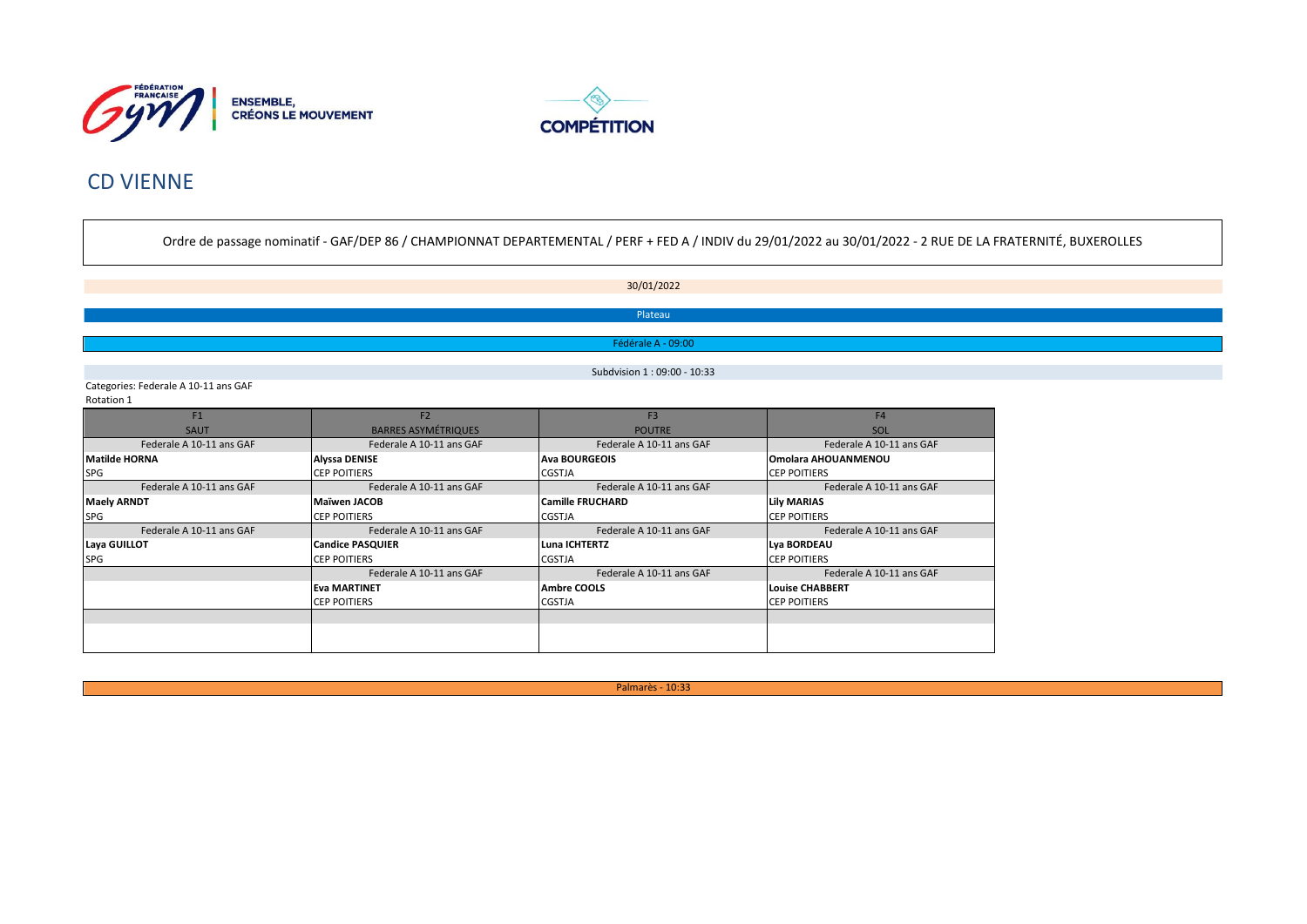



# **CD VIENNE**

Ordre de passage nominatif - GAF/DEP 86 / CHAMPIONNAT DEPARTEMENTAL / PERF + FED A / INDIV du 29/01/2022 au 30/01/2022 - 2 RUE DE LA FRATERNITÉ, BUXEROLLES

30/01/2022 Plateau

Fédérale A - 09:00

Subdvision 1:09:00 - 10:33

Categories: Federale A 10-11 ans GAF Rotation 1

| F1                       | F <sub>2</sub>             | F <sub>3</sub>           | F <sub>4</sub>             |
|--------------------------|----------------------------|--------------------------|----------------------------|
| <b>SAUT</b>              | <b>BARRES ASYMÉTRIQUES</b> | <b>POUTRE</b>            | SOL                        |
| Federale A 10-11 ans GAF | Federale A 10-11 ans GAF   | Federale A 10-11 ans GAF | Federale A 10-11 ans GAF   |
| <b>Matilde HORNA</b>     | <b>Alyssa DENISE</b>       | <b>Ava BOURGEOIS</b>     | <b>Omolara AHOUANMENOU</b> |
| SPG                      | <b>CEP POITIERS</b>        | <b>CGSTJA</b>            | <b>CEP POITIERS</b>        |
| Federale A 10-11 ans GAF | Federale A 10-11 ans GAF   | Federale A 10-11 ans GAF | Federale A 10-11 ans GAF   |
| <b>Maely ARNDT</b>       | Maïwen JACOB               | <b>Camille FRUCHARD</b>  | <b>Lily MARIAS</b>         |
| <b>SPG</b>               | <b>CEP POITIERS</b>        | <b>CGSTJA</b>            | <b>CEP POITIERS</b>        |
| Federale A 10-11 ans GAF | Federale A 10-11 ans GAF   | Federale A 10-11 ans GAF | Federale A 10-11 ans GAF   |
| Laya GUILLOT             | <b>Candice PASQUIER</b>    | Luna ICHTERTZ            | Lya BORDEAU                |
| SPG                      | <b>CEP POITIERS</b>        | <b>CGSTJA</b>            | <b>CEP POITIERS</b>        |
|                          | Federale A 10-11 ans GAF   | Federale A 10-11 ans GAF | Federale A 10-11 ans GAF   |
|                          | <b>Eva MARTINET</b>        | <b>Ambre COOLS</b>       | Louise CHABBERT            |
|                          | <b>CEP POITIERS</b>        | <b>CGSTJA</b>            | <b>CEP POITIERS</b>        |
|                          |                            |                          |                            |
|                          |                            |                          |                            |
|                          |                            |                          |                            |

Palmarès - 10:33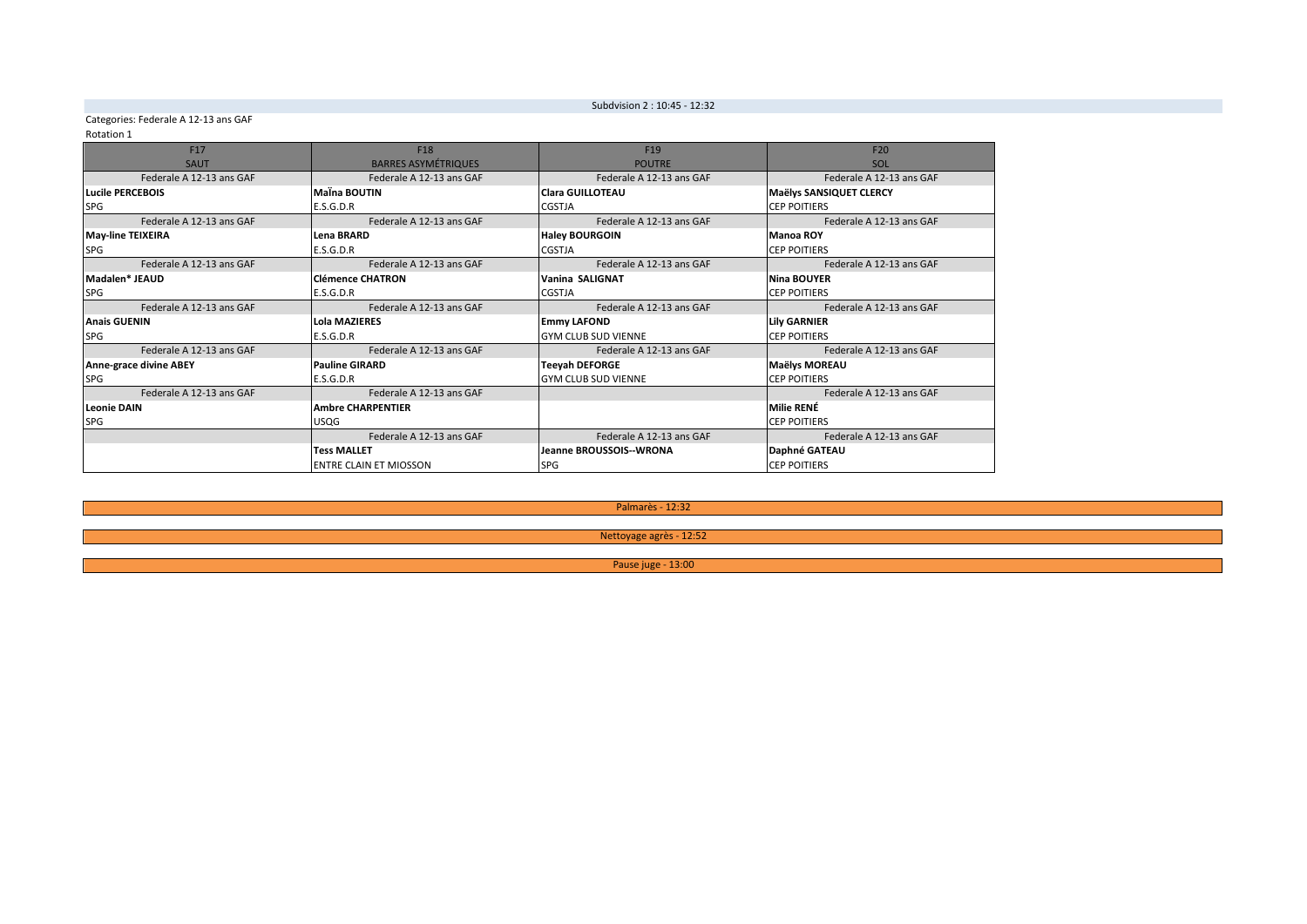Subdvision 2: 10:45 - 12:32

### Categories: Federale A 12-13 ans GAF

### Rotation 1

| F <sub>17</sub>          | F18                                                  | F <sub>19</sub>            | F <sub>20</sub>          |  |
|--------------------------|------------------------------------------------------|----------------------------|--------------------------|--|
| SAUT                     | <b>BARRES ASYMÉTRIQUES</b>                           | <b>POUTRE</b>              | SOL                      |  |
| Federale A 12-13 ans GAF | Federale A 12-13 ans GAF<br>Federale A 12-13 ans GAF |                            | Federale A 12-13 ans GAF |  |
| Lucile PERCEBOIS         | <b>Maina BOUTIN</b>                                  | <b>Clara GUILLOTEAU</b>    | Maëlys SANSIQUET CLERCY  |  |
| SPG                      | E.S.G.D.R                                            | <b>CGSTJA</b>              | <b>CEP POITIERS</b>      |  |
| Federale A 12-13 ans GAF | Federale A 12-13 ans GAF                             | Federale A 12-13 ans GAF   | Federale A 12-13 ans GAF |  |
| <b>May-line TEIXEIRA</b> | Lena BRARD                                           | <b>Haley BOURGOIN</b>      | <b>Manoa ROY</b>         |  |
| SPG                      | E.S.G.D.R                                            | <b>CGSTJA</b>              | <b>CEP POITIERS</b>      |  |
| Federale A 12-13 ans GAF | Federale A 12-13 ans GAF                             | Federale A 12-13 ans GAF   | Federale A 12-13 ans GAF |  |
| Madalen* JEAUD           | <b>Clémence CHATRON</b>                              | Vanina SALIGNAT            | Nina BOUYER              |  |
| <b>SPG</b>               | E.S.G.D.R<br><b>CGSTJA</b>                           |                            | <b>CEP POITIERS</b>      |  |
| Federale A 12-13 ans GAF | Federale A 12-13 ans GAF                             | Federale A 12-13 ans GAF   | Federale A 12-13 ans GAF |  |
| <b>Anais GUENIN</b>      | <b>Lola MAZIERES</b>                                 | <b>Emmy LAFOND</b>         | <b>Lily GARNIER</b>      |  |
| <b>SPG</b>               | E.S.G.D.R                                            | <b>GYM CLUB SUD VIENNE</b> | <b>CEP POITIERS</b>      |  |
| Federale A 12-13 ans GAF | Federale A 12-13 ans GAF                             | Federale A 12-13 ans GAF   | Federale A 12-13 ans GAF |  |
| Anne-grace divine ABEY   | <b>Pauline GIRARD</b>                                | <b>Teeyah DEFORGE</b>      | <b>Maëlys MOREAU</b>     |  |
| <b>SPG</b>               | E.S.G.D.R                                            | <b>GYM CLUB SUD VIENNE</b> | <b>CEP POITIERS</b>      |  |
| Federale A 12-13 ans GAF | Federale A 12-13 ans GAF                             |                            | Federale A 12-13 ans GAF |  |
| <b>Leonie DAIN</b>       | <b>Ambre CHARPENTIER</b>                             |                            | <b>Milie RENÉ</b>        |  |
| <b>SPG</b>               | <b>USQG</b>                                          |                            | <b>CEP POITIERS</b>      |  |
|                          | Federale A 12-13 ans GAF                             | Federale A 12-13 ans GAF   | Federale A 12-13 ans GAF |  |
|                          | <b>Tess MALLET</b>                                   | Jeanne BROUSSOIS--WRONA    | Daphné GATEAU            |  |
|                          | <b>ENTRE CLAIN ET MIOSSON</b>                        | <b>SPG</b>                 | <b>CEP POITIERS</b>      |  |

Palmarès - 12:32

Nettoyage agrès - 12:52

Pause juge - 13:00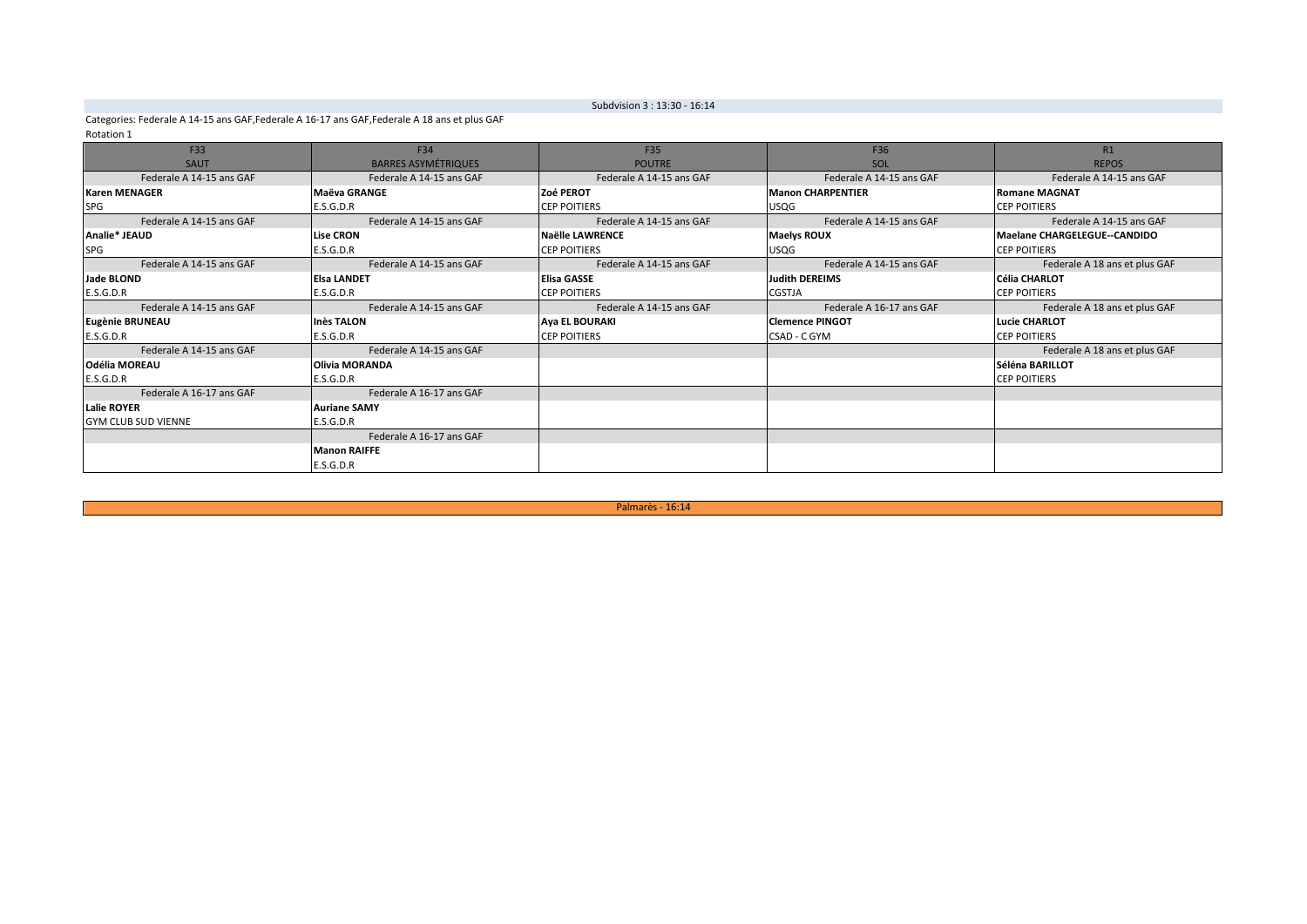### Subdvision 3 : 13:30 - 16:14

Categories: Federale A 14-15 ans GAF, Federale A 16-17 ans GAF, Federale A 18 ans et plus GAF Rotation 1

| F33                        | F34                        | F35                      | F36                      | R1                                  |
|----------------------------|----------------------------|--------------------------|--------------------------|-------------------------------------|
| <b>SAUT</b>                | <b>BARRES ASYMÉTRIQUES</b> | <b>POUTRE</b>            | SOL                      | <b>REPOS</b>                        |
| Federale A 14-15 ans GAF   | Federale A 14-15 ans GAF   | Federale A 14-15 ans GAF | Federale A 14-15 ans GAF | Federale A 14-15 ans GAF            |
| <b>Karen MENAGER</b>       | <b>Maëva GRANGE</b>        | <b>Zoé PEROT</b>         | <b>Manon CHARPENTIER</b> | <b>Romane MAGNAT</b>                |
| SPG                        | E.S.G.D.R                  | <b>CEP POITIERS</b>      | <b>USQG</b>              | <b>CEP POITIERS</b>                 |
| Federale A 14-15 ans GAF   | Federale A 14-15 ans GAF   | Federale A 14-15 ans GAF | Federale A 14-15 ans GAF | Federale A 14-15 ans GAF            |
| Analie* JEAUD              | <b>Lise CRON</b>           | Naëlle LAWRENCE          | <b>Maelys ROUX</b>       | <b>Maelane CHARGELEGUE--CANDIDO</b> |
| SPG                        | E.S.G.D.R                  | <b>CEP POITIERS</b>      | <b>USQG</b>              | <b>CEP POITIERS</b>                 |
| Federale A 14-15 ans GAF   | Federale A 14-15 ans GAF   | Federale A 14-15 ans GAF | Federale A 14-15 ans GAF | Federale A 18 ans et plus GAF       |
| Jade BLOND                 | <b>Elsa LANDET</b>         | <b>Elisa GASSE</b>       | Judith DEREIMS           | <b>Célia CHARLOT</b>                |
| E.S.G.D.R                  | E.S.G.D.R                  | <b>CEP POITIERS</b>      | <b>CGSTJA</b>            | <b>CEP POITIERS</b>                 |
| Federale A 14-15 ans GAF   | Federale A 14-15 ans GAF   | Federale A 14-15 ans GAF | Federale A 16-17 ans GAF | Federale A 18 ans et plus GAF       |
| Eugènie BRUNEAU            | <b>Inès TALON</b>          | <b>Aya EL BOURAKI</b>    | <b>Clemence PINGOT</b>   | <b>Lucie CHARLOT</b>                |
| E.S.G.D.R                  | E.S.G.D.R                  | <b>CEP POITIERS</b>      | CSAD - C GYM             | <b>CEP POITIERS</b>                 |
| Federale A 14-15 ans GAF   | Federale A 14-15 ans GAF   |                          |                          | Federale A 18 ans et plus GAF       |
| <b>Odélia MOREAU</b>       | <b>Olivia MORANDA</b>      |                          |                          | Séléna BARILLOT                     |
| E.S.G.D.R                  | E.S.G.D.R                  |                          |                          | <b>CEP POITIERS</b>                 |
| Federale A 16-17 ans GAF   | Federale A 16-17 ans GAF   |                          |                          |                                     |
| <b>Lalie ROYER</b>         | <b>Auriane SAMY</b>        |                          |                          |                                     |
| <b>GYM CLUB SUD VIENNE</b> | E.S.G.D.R                  |                          |                          |                                     |
|                            | Federale A 16-17 ans GAF   |                          |                          |                                     |
|                            | <b>Manon RAIFFE</b>        |                          |                          |                                     |
|                            | E.S.G.D.R                  |                          |                          |                                     |

Palmarès - 16:14